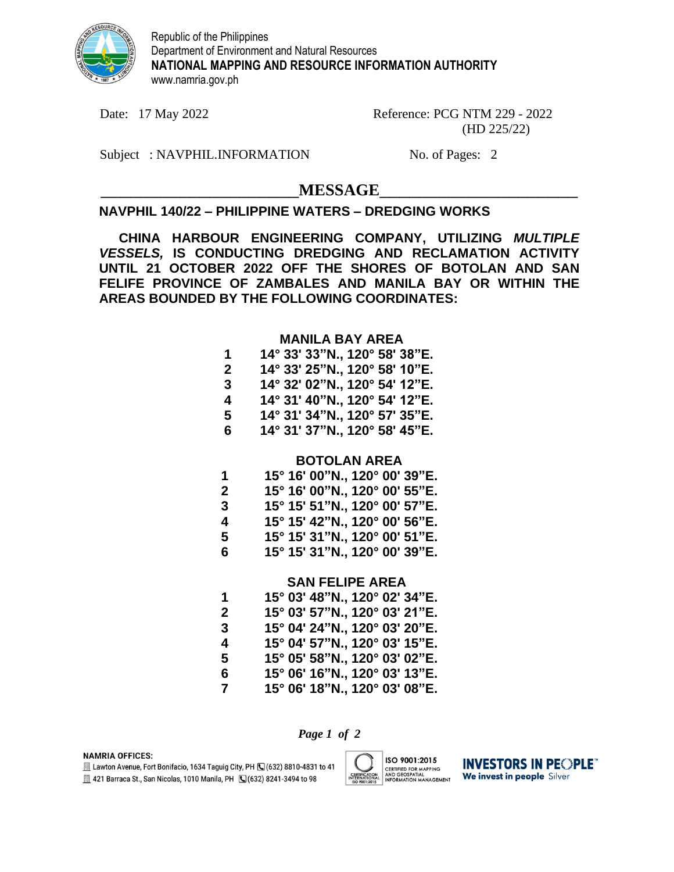

Republic of the Philippines Department of Environment and Natural Resources **NATIONAL MAPPING AND RESOURCE INFORMATION AUTHORITY** www.namria.gov.ph

Date: 17 May 2022 Reference: PCG NTM 229 - 2022 (HD 225/22)

Subject: NAVPHIL.INFORMATION No. of Pages: 2

# $MESSAGE$

## **NAVPHIL 140/22 – PHILIPPINE WATERS – DREDGING WORKS**

**CHINA HARBOUR ENGINEERING COMPANY, UTILIZING** *MULTIPLE VESSELS,* **IS CONDUCTING DREDGING AND RECLAMATION ACTIVITY UNTIL 21 OCTOBER 2022 OFF THE SHORES OF BOTOLAN AND SAN FELIFE PROVINCE OF ZAMBALES AND MANILA BAY OR WITHIN THE AREAS BOUNDED BY THE FOLLOWING COORDINATES:**

### **MANILA BAY AREA**

| 1  | 14° 33' 33"N., 120° 58' 38"E. |
|----|-------------------------------|
| 2  | 14° 33' 25"N., 120° 58' 10"E. |
| 3  | 14° 32' 02"N., 120° 54' 12"E. |
| 4  | 14° 31' 40"N., 120° 54' 12"E. |
| 5  | 14° 31' 34"N., 120° 57' 35"E. |
| 6. | 14° 31' 37"N., 120° 58' 45"E. |

### **BOTOLAN AREA**

| 1 | 15° 16' 00"N., 120° 00' 39"E. |
|---|-------------------------------|
| 2 | 15° 16' 00"N., 120° 00' 55"E. |
| 3 | 15° 15' 51"N., 120° 00' 57"E. |
| 4 | 15° 15' 42"N., 120° 00' 56"E. |
| 5 | 15° 15' 31"N., 120° 00' 51"E. |
| 6 | 15° 15' 31"N., 120° 00' 39"E. |

#### **SAN FELIPE AREA**

| 1  | 15° 03' 48"N., 120° 02' 34"E. |
|----|-------------------------------|
| 2  | 15° 03' 57"N., 120° 03' 21"E. |
| 3  | 15° 04' 24"N., 120° 03' 20"E. |
| 4  | 15° 04' 57"N., 120° 03' 15"E. |
| 5  | 15° 05' 58"N., 120° 03' 02"E. |
| 6. | 15° 06' 16"N., 120° 03' 13"E. |
| 7  | 15° 06' 18"N., 120° 03' 08"E. |

*Page 1 of 2*

**NAMRIA OFFICES:** 

E Lawton Avenue, Fort Bonifacio, 1634 Taguig City, PH (C) (632) 8810-4831 to 41 **图 421 Barraca St., San Nicolas, 1010 Manila, PH (G(632) 8241-3494 to 98** 



**INVESTORS IN PEOPLE CERTIFIED FOR MAPPING<br>AND GEOSPATIAL<br>INFORMATION MANAGEMENT** We invest in people Silver